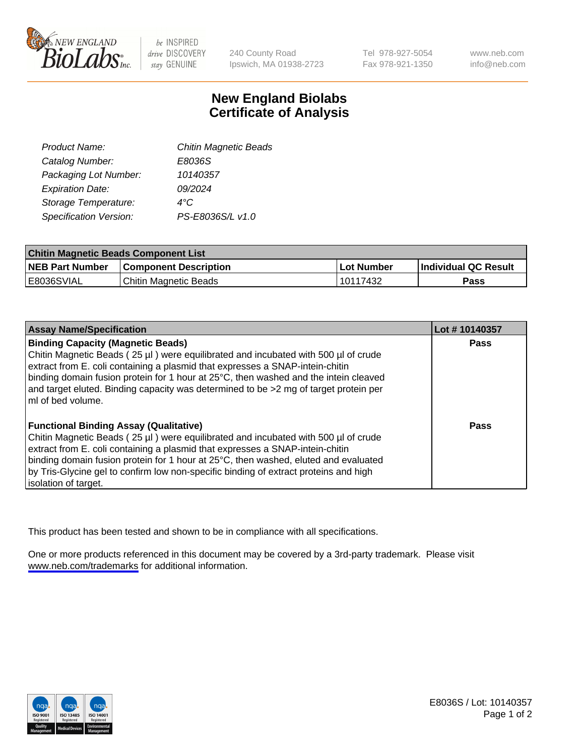

be INSPIRED drive DISCOVERY stay GENUINE

240 County Road Ipswich, MA 01938-2723 Tel 978-927-5054 Fax 978-921-1350

www.neb.com info@neb.com

## **New England Biolabs Certificate of Analysis**

| Product Name:           | <b>Chitin Magnetic Beads</b> |
|-------------------------|------------------------------|
| Catalog Number:         | E8036S                       |
| Packaging Lot Number:   | 10140357                     |
| <b>Expiration Date:</b> | 09/2024                      |
| Storage Temperature:    | 4°C                          |
| Specification Version:  | PS-E8036S/L v1.0             |
|                         |                              |

| <b>Chitin Magnetic Beads Component List</b> |                              |            |                      |  |
|---------------------------------------------|------------------------------|------------|----------------------|--|
| <b>NEB Part Number</b>                      | <b>Component Description</b> | Lot Number | Individual QC Result |  |
| E8036SVIAL                                  | Chitin Magnetic Beads        | 10117432   | Pass                 |  |

| <b>Assay Name/Specification</b>                                                                                                                                                                                                                                                                         | Lot #10140357 |
|---------------------------------------------------------------------------------------------------------------------------------------------------------------------------------------------------------------------------------------------------------------------------------------------------------|---------------|
| <b>Binding Capacity (Magnetic Beads)</b><br>Chitin Magnetic Beads (25 µl) were equilibrated and incubated with 500 µl of crude<br>extract from E. coli containing a plasmid that expresses a SNAP-intein-chitin<br>binding domain fusion protein for 1 hour at 25°C, then washed and the intein cleaved | <b>Pass</b>   |
| and target eluted. Binding capacity was determined to be >2 mg of target protein per<br>l mI of bed volume.                                                                                                                                                                                             |               |
| <b>Functional Binding Assay (Qualitative)</b>                                                                                                                                                                                                                                                           | Pass          |
| Chitin Magnetic Beads (25 µl) were equilibrated and incubated with 500 µl of crude                                                                                                                                                                                                                      |               |
| extract from E. coli containing a plasmid that expresses a SNAP-intein-chitin<br>binding domain fusion protein for 1 hour at 25°C, then washed, eluted and evaluated                                                                                                                                    |               |
| by Tris-Glycine gel to confirm low non-specific binding of extract proteins and high                                                                                                                                                                                                                    |               |
| solation of target.                                                                                                                                                                                                                                                                                     |               |

This product has been tested and shown to be in compliance with all specifications.

One or more products referenced in this document may be covered by a 3rd-party trademark. Please visit <www.neb.com/trademarks>for additional information.